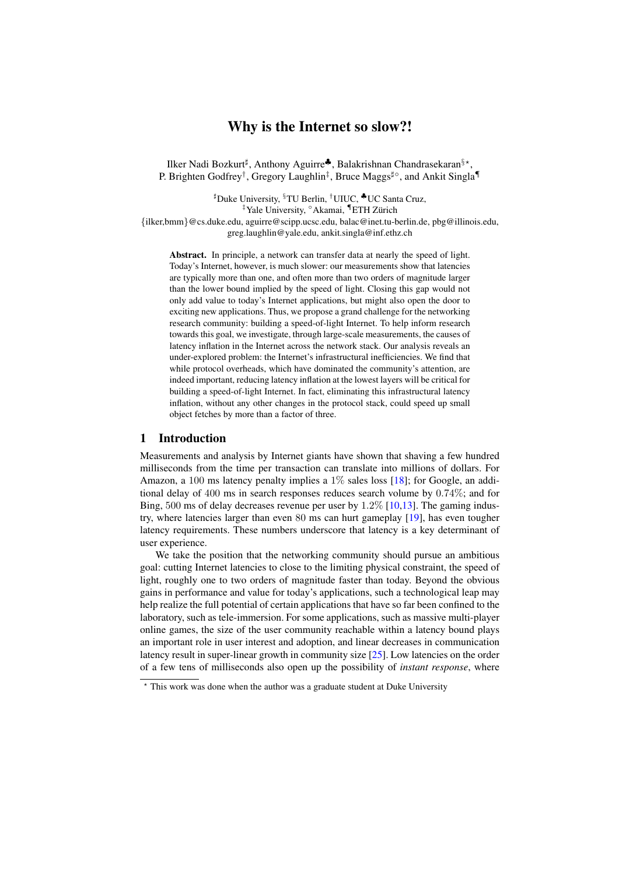# Why is the Internet so slow?!

Ilker Nadi Bozkurt<sup>‡</sup>, Anthony Aguirre<sup>♣</sup>, Balakrishnan Chandrasekaran<sup>§\*</sup>, P. Brighten Godfrey<sup>†</sup>, Gregory Laughlin<sup>‡</sup>, Bruce Maggs<sup>‡</sup>°, and Ankit Singla¶

]Duke University, §TU Berlin, †UIUC, ♣UC Santa Cruz, <sup>‡</sup>Yale University, <sup>°</sup>Akamai, <sup>¶</sup>ETH Zürich {ilker,bmm}@cs.duke.edu, aguirre@scipp.ucsc.edu, balac@inet.tu-berlin.de, pbg@illinois.edu, greg.laughlin@yale.edu, ankit.singla@inf.ethz.ch

Abstract. In principle, a network can transfer data at nearly the speed of light. Today's Internet, however, is much slower: our measurements show that latencies are typically more than one, and often more than two orders of magnitude larger than the lower bound implied by the speed of light. Closing this gap would not only add value to today's Internet applications, but might also open the door to exciting new applications. Thus, we propose a grand challenge for the networking research community: building a speed-of-light Internet. To help inform research towards this goal, we investigate, through large-scale measurements, the causes of latency inflation in the Internet across the network stack. Our analysis reveals an under-explored problem: the Internet's infrastructural inefficiencies. We find that while protocol overheads, which have dominated the community's attention, are indeed important, reducing latency inflation at the lowest layers will be critical for building a speed-of-light Internet. In fact, eliminating this infrastructural latency inflation, without any other changes in the protocol stack, could speed up small object fetches by more than a factor of three.

# 1 Introduction

Measurements and analysis by Internet giants have shown that shaving a few hundred milliseconds from the time per transaction can translate into millions of dollars. For Amazon, a 100 ms latency penalty implies a  $1\%$  sales loss [\[18\]](#page-12-0); for Google, an additional delay of 400 ms in search responses reduces search volume by 0.74%; and for Bing, 500 ms of delay decreases revenue per user by 1.2% [\[10](#page-11-0)[,13\]](#page-11-1). The gaming industry, where latencies larger than even 80 ms can hurt gameplay [\[19\]](#page-12-1), has even tougher latency requirements. These numbers underscore that latency is a key determinant of user experience.

We take the position that the networking community should pursue an ambitious goal: cutting Internet latencies to close to the limiting physical constraint, the speed of light, roughly one to two orders of magnitude faster than today. Beyond the obvious gains in performance and value for today's applications, such a technological leap may help realize the full potential of certain applications that have so far been confined to the laboratory, such as tele-immersion. For some applications, such as massive multi-player online games, the size of the user community reachable within a latency bound plays an important role in user interest and adoption, and linear decreases in communication latency result in super-linear growth in community size [\[25\]](#page-12-2). Low latencies on the order of a few tens of milliseconds also open up the possibility of *instant response*, where

<sup>?</sup> This work was done when the author was a graduate student at Duke University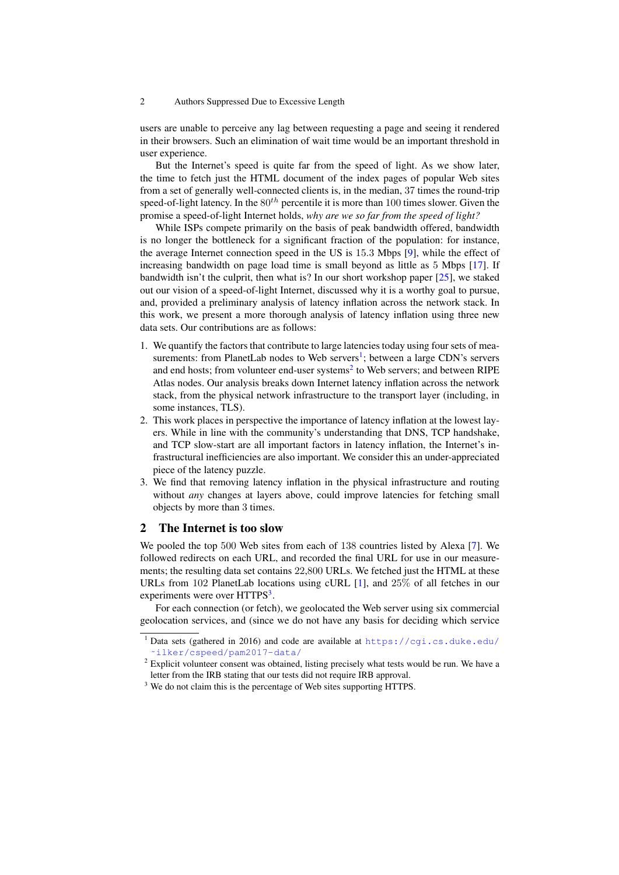users are unable to perceive any lag between requesting a page and seeing it rendered in their browsers. Such an elimination of wait time would be an important threshold in user experience.

But the Internet's speed is quite far from the speed of light. As we show later, the time to fetch just the HTML document of the index pages of popular Web sites from a set of generally well-connected clients is, in the median, 37 times the round-trip speed-of-light latency. In the  $80^{th}$  percentile it is more than 100 times slower. Given the promise a speed-of-light Internet holds, *why are we so far from the speed of light?*

While ISPs compete primarily on the basis of peak bandwidth offered, bandwidth is no longer the bottleneck for a significant fraction of the population: for instance, the average Internet connection speed in the US is 15.3 Mbps [\[9\]](#page-11-2), while the effect of increasing bandwidth on page load time is small beyond as little as 5 Mbps [\[17\]](#page-12-3). If bandwidth isn't the culprit, then what is? In our short workshop paper [\[25\]](#page-12-2), we staked out our vision of a speed-of-light Internet, discussed why it is a worthy goal to pursue, and, provided a preliminary analysis of latency inflation across the network stack. In this work, we present a more thorough analysis of latency inflation using three new data sets. Our contributions are as follows:

- 1. We quantify the factors that contribute to large latencies today using four sets of mea-surements: from PlanetLab nodes to Web servers<sup>[1](#page-1-0)</sup>; between a large CDN's servers and end hosts; from volunteer end-user systems<sup>[2](#page-1-1)</sup> to Web servers; and between RIPE Atlas nodes. Our analysis breaks down Internet latency inflation across the network stack, from the physical network infrastructure to the transport layer (including, in some instances, TLS).
- 2. This work places in perspective the importance of latency inflation at the lowest layers. While in line with the community's understanding that DNS, TCP handshake, and TCP slow-start are all important factors in latency inflation, the Internet's infrastructural inefficiencies are also important. We consider this an under-appreciated piece of the latency puzzle.
- 3. We find that removing latency inflation in the physical infrastructure and routing without *any* changes at layers above, could improve latencies for fetching small objects by more than 3 times.

# 2 The Internet is too slow

We pooled the top 500 Web sites from each of 138 countries listed by Alexa [\[7\]](#page-11-3). We followed redirects on each URL, and recorded the final URL for use in our measurements; the resulting data set contains 22,800 URLs. We fetched just the HTML at these URLs from 102 PlanetLab locations using cURL [\[1\]](#page-11-4), and 25% of all fetches in our experiments were over HTTPS<sup>[3](#page-1-2)</sup>.

For each connection (or fetch), we geolocated the Web server using six commercial geolocation services, and (since we do not have any basis for deciding which service

<span id="page-1-0"></span>Data sets (gathered in 2016) and code are available at [https://cgi.cs.duke.edu/](https://cgi.cs.duke.edu/~ilker/cspeed/pam2017-data/) [˜ilker/cspeed/pam2017-data/](https://cgi.cs.duke.edu/~ilker/cspeed/pam2017-data/)

<span id="page-1-1"></span><sup>&</sup>lt;sup>2</sup> Explicit volunteer consent was obtained, listing precisely what tests would be run. We have a letter from the IRB stating that our tests did not require IRB approval.

<span id="page-1-2"></span><sup>&</sup>lt;sup>3</sup> We do not claim this is the percentage of Web sites supporting HTTPS.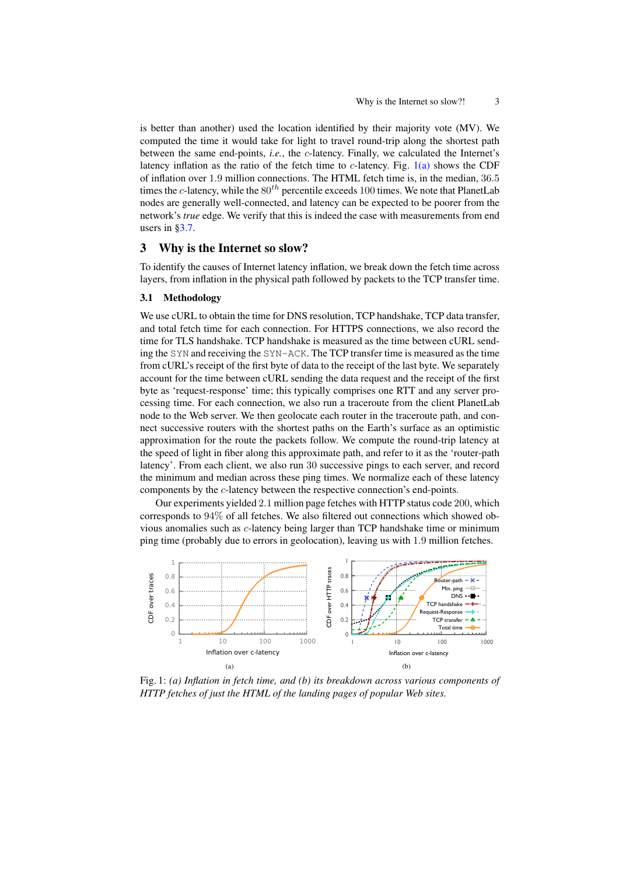is better than another) used the location identified by their majority vote (MV). We computed the time it would take for light to travel round-trip along the shortest path between the same end-points, *i.e.*, the *c*-latency. Finally, we calculated the Internet's latency inflation as the ratio of the fetch time to c-latency. Fig.  $1(a)$  shows the CDF of inflation over 1.9 million connections. The HTML fetch time is, in the median, 36.5 times the c-latency, while the  $80^{th}$  percentile exceeds 100 times. We note that PlanetLab nodes are generally well-connected, and latency can be expected to be poorer from the network's *true* edge. We verify that this is indeed the case with measurements from end users in  $\S 3.7$ .

#### Why is the Internet so slow? 3

To identify the causes of Internet latency inflation, we break down the fetch time across layers, from inflation in the physical path followed by packets to the TCP transfer time.

### 3.1 Methodology

We use cURL to obtain the time for DNS resolution, TCP handshake, TCP data transfer, and total fetch time for each connection. For HTTPS connections, we also record the time for TLS handshake. TCP handshake is measured as the time between cURL sending the SYN and receiving the SYN-ACK. The TCP transfer time is measured as the time from cURL's receipt of the first byte of data to the receipt of the last byte. We separately account for the time between cURL sending the data request and the receipt of the first byte as 'request-response' time; this typically comprises one RTT and any server processing time. For each connection, we also run a traceroute from the client PlanetLab node to the Web server. We then geolocate each router in the traceroute path, and connect successive routers with the shortest paths on the Earth's surface as an optimistic approximation for the route the packets follow. We compute the round-trip latency at the speed of light in fiber along this approximate path, and refer to it as the 'router-path latency'. From each client, we also run 30 successive pings to each server, and record the minimum and median across these ping times. We normalize each of these latency components by the c-latency between the respective connection's end-points.

Our experiments yielded 2.1 million page fetches with HTTP status code 200, which corresponds to 94% of all fetches. We also filtered out connections which showed obvious anomalies such as c-latency being larger than TCP handshake time or minimum ping time (probably due to errors in geolocation), leaving us with 1.9 million fetches.

<span id="page-2-0"></span>

<span id="page-2-1"></span>Fig. 1: (a) Inflation in fetch time, and (b) its breakdown across various components of HTTP fetches of just the HTML of the landing pages of popular Web sites.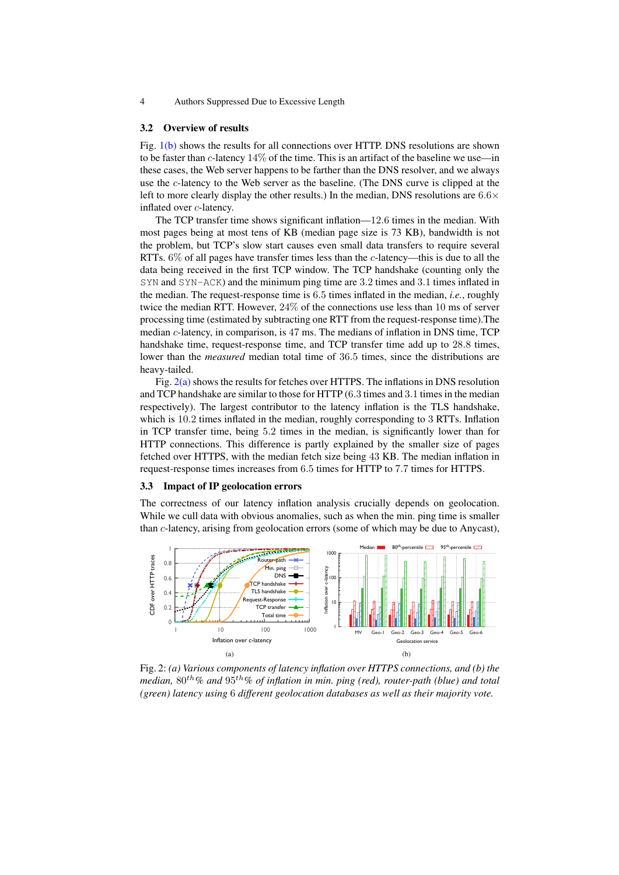#### **Overview of results**  $3.2$

Fig. 1(b) shows the results for all connections over HTTP. DNS resolutions are shown to be faster than c-latency  $14\%$  of the time. This is an artifact of the baseline we use—in these cases, the Web server happens to be farther than the DNS resolver, and we always use the c-latency to the Web server as the baseline. (The DNS curve is clipped at the left to more clearly display the other results.) In the median, DNS resolutions are  $6.6\times$ inflated over c-latency.

The TCP transfer time shows significant inflation—12.6 times in the median. With most pages being at most tens of KB (median page size is 73 KB), bandwidth is not the problem, but TCP's slow start causes even small data transfers to require several RTTs.  $6\%$  of all pages have transfer times less than the c-latency—this is due to all the data being received in the first TCP window. The TCP handshake (counting only the  $SYN$  and  $SYN - ACK$ ) and the minimum ping time are 3.2 times and 3.1 times inflated in the median. The request-response time is 6.5 times inflated in the median, *i.e.*, roughly twice the median RTT. However,  $24\%$  of the connections use less than 10 ms of server processing time (estimated by subtracting one RTT from the request-response time). The median  $c$ -latency, in comparison, is 47 ms. The medians of inflation in DNS time, TCP handshake time, request-response time, and TCP transfer time add up to 28.8 times, lower than the *measured* median total time of 36.5 times, since the distributions are heavy-tailed.

Fig.  $2(a)$  shows the results for fetches over HTTPS. The inflations in DNS resolution and TCP handshake are similar to those for HTTP (6.3 times and 3.1 times in the median respectively). The largest contributor to the latency inflation is the TLS handshake, which is 10.2 times inflated in the median, roughly corresponding to 3 RTTs. Inflation in TCP transfer time, being 5.2 times in the median, is significantly lower than for HTTP connections. This difference is partly explained by the smaller size of pages fetched over HTTPS, with the median fetch size being 43 KB. The median inflation in request-response times increases from 6.5 times for HTTP to 7.7 times for HTTPS.

#### 3.3 Impact of IP geolocation errors

The correctness of our latency inflation analysis crucially depends on geolocation. While we cull data with obvious anomalies, such as when the min. ping time is smaller than c-latency, arising from geolocation errors (some of which may be due to Anycast),

<span id="page-3-0"></span>

<span id="page-3-1"></span>Fig. 2: (a) Various components of latency inflation over HTTPS connections, and (b) the median,  $80^{th}$ % and  $95^{th}$ % of inflation in min. ping (red), router-path (blue) and total (green) latency using 6 different geolocation databases as well as their majority vote.

 $\overline{4}$ Authors Suppressed Due to Excessive Length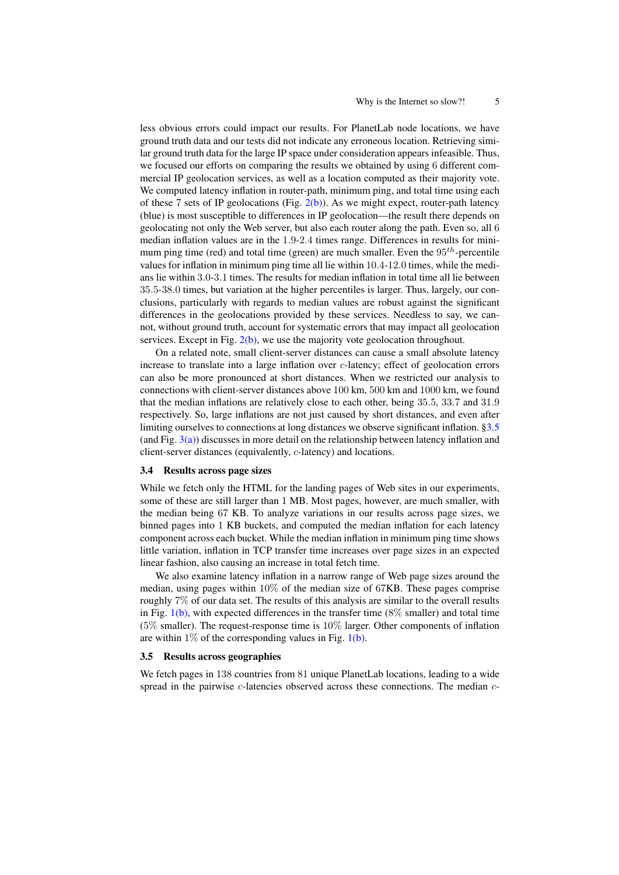less obvious errors could impact our results. For PlanetLab node locations, we have ground truth data and our tests did not indicate any erroneous location. Retrieving similar ground truth data for the large IP space under consideration appears infeasible. Thus, we focused our efforts on comparing the results we obtained by using 6 different commercial IP geolocation services, as well as a location computed as their majority vote. We computed latency inflation in router-path, minimum ping, and total time using each of these 7 sets of IP geolocations (Fig.  $2(b)$ ). As we might expect, router-path latency (blue) is most susceptible to differences in IP geolocation—the result there depends on geolocating not only the Web server, but also each router along the path. Even so, all 6 median inflation values are in the 1.9-2.4 times range. Differences in results for minimum ping time (red) and total time (green) are much smaller. Even the  $95<sup>th</sup>$ -percentile values for inflation in minimum ping time all lie within 10.4-12.0 times, while the medians lie within 3.0-3.1 times. The results for median inflation in total time all lie between 35.5-38.0 times, but variation at the higher percentiles is larger. Thus, largely, our conclusions, particularly with regards to median values are robust against the significant differences in the geolocations provided by these services. Needless to say, we cannot, without ground truth, account for systematic errors that may impact all geolocation services. Except in Fig.  $2(b)$ , we use the majority vote geolocation throughout.

On a related note, small client-server distances can cause a small absolute latency increase to translate into a large inflation over c-latency; effect of geolocation errors can also be more pronounced at short distances. When we restricted our analysis to connections with client-server distances above 100 km, 500 km and 1000 km, we found that the median inflations are relatively close to each other, being 35.5, 33.7 and 31.9 respectively. So, large inflations are not just caused by short distances, and even after limiting ourselves to connections at long distances we observe significant inflation. [§3.5](#page-4-0) (and Fig. [3\(a\)\)](#page-5-0) discusses in more detail on the relationship between latency inflation and client-server distances (equivalently, c-latency) and locations.

#### 3.4 Results across page sizes

While we fetch only the HTML for the landing pages of Web sites in our experiments, some of these are still larger than 1 MB. Most pages, however, are much smaller, with the median being 67 KB. To analyze variations in our results across page sizes, we binned pages into 1 KB buckets, and computed the median inflation for each latency component across each bucket. While the median inflation in minimum ping time shows little variation, inflation in TCP transfer time increases over page sizes in an expected linear fashion, also causing an increase in total fetch time.

We also examine latency inflation in a narrow range of Web page sizes around the median, using pages within 10% of the median size of 67KB. These pages comprise roughly 7% of our data set. The results of this analysis are similar to the overall results in Fig.  $1(b)$ , with expected differences in the transfer time (8% smaller) and total time (5% smaller). The request-response time is 10% larger. Other components of inflation are within  $1\%$  of the corresponding values in Fig. [1\(b\).](#page-2-1)

#### <span id="page-4-0"></span>3.5 Results across geographies

We fetch pages in 138 countries from 81 unique PlanetLab locations, leading to a wide spread in the pairwise *c*-latencies observed across these connections. The median *c*-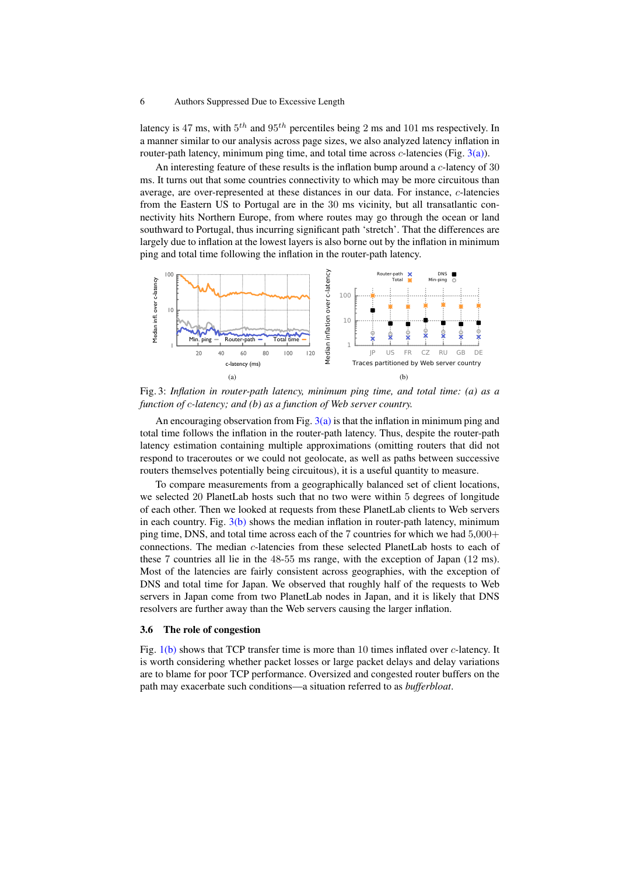latency is 47 ms, with  $5^{th}$  and  $95^{th}$  percentiles being 2 ms and 101 ms respectively. In a manner similar to our analysis across page sizes, we also analyzed latency inflation in router-path latency, minimum ping time, and total time across  $c$ -latencies (Fig.  $3(a)$ ).

An interesting feature of these results is the inflation bump around a c-latency of 30 ms. It turns out that some countries connectivity to which may be more circuitous than average, are over-represented at these distances in our data. For instance, c-latencies from the Eastern US to Portugal are in the 30 ms vicinity, but all transatlantic connectivity hits Northern Europe, from where routes may go through the ocean or land southward to Portugal, thus incurring significant path 'stretch'. That the differences are largely due to inflation at the lowest layers is also borne out by the inflation in minimum ping and total time following the inflation in the router-path latency.

<span id="page-5-0"></span>

<span id="page-5-1"></span>Fig. 3: *Inflation in router-path latency, minimum ping time, and total time: (a) as a function of* c*-latency; and (b) as a function of Web server country.*

An encouraging observation from Fig.  $3(a)$  is that the inflation in minimum ping and total time follows the inflation in the router-path latency. Thus, despite the router-path latency estimation containing multiple approximations (omitting routers that did not respond to traceroutes or we could not geolocate, as well as paths between successive routers themselves potentially being circuitous), it is a useful quantity to measure.

To compare measurements from a geographically balanced set of client locations, we selected 20 PlanetLab hosts such that no two were within 5 degrees of longitude of each other. Then we looked at requests from these PlanetLab clients to Web servers in each country. Fig.  $3(b)$  shows the median inflation in router-path latency, minimum ping time, DNS, and total time across each of the 7 countries for which we had 5,000+ connections. The median c-latencies from these selected PlanetLab hosts to each of these 7 countries all lie in the 48-55 ms range, with the exception of Japan (12 ms). Most of the latencies are fairly consistent across geographies, with the exception of DNS and total time for Japan. We observed that roughly half of the requests to Web servers in Japan come from two PlanetLab nodes in Japan, and it is likely that DNS resolvers are further away than the Web servers causing the larger inflation.

# 3.6 The role of congestion

Fig. [1\(b\)](#page-2-1) shows that TCP transfer time is more than 10 times inflated over *c*-latency. It is worth considering whether packet losses or large packet delays and delay variations are to blame for poor TCP performance. Oversized and congested router buffers on the path may exacerbate such conditions—a situation referred to as *bufferbloat*.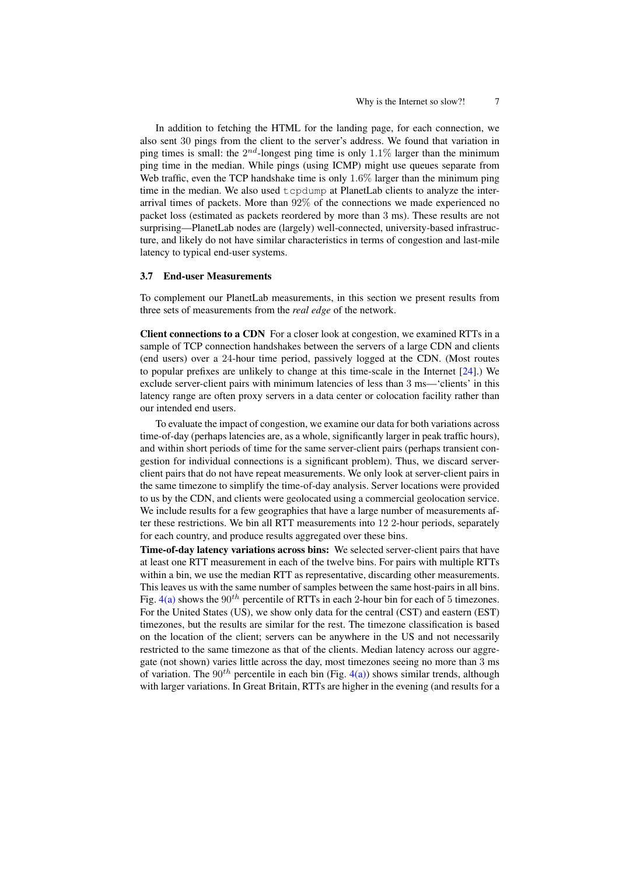In addition to fetching the HTML for the landing page, for each connection, we also sent 30 pings from the client to the server's address. We found that variation in ping times is small: the  $2^{nd}$ -longest ping time is only 1.1% larger than the minimum ping time in the median. While pings (using ICMP) might use queues separate from Web traffic, even the TCP handshake time is only  $1.6\%$  larger than the minimum ping time in the median. We also used tcpdump at PlanetLab clients to analyze the interarrival times of packets. More than 92% of the connections we made experienced no packet loss (estimated as packets reordered by more than 3 ms). These results are not surprising—PlanetLab nodes are (largely) well-connected, university-based infrastructure, and likely do not have similar characteristics in terms of congestion and last-mile latency to typical end-user systems.

#### <span id="page-6-0"></span>3.7 End-user Measurements

To complement our PlanetLab measurements, in this section we present results from three sets of measurements from the *real edge* of the network.

Client connections to a CDN For a closer look at congestion, we examined RTTs in a sample of TCP connection handshakes between the servers of a large CDN and clients (end users) over a 24-hour time period, passively logged at the CDN. (Most routes to popular prefixes are unlikely to change at this time-scale in the Internet [\[24\]](#page-12-4).) We exclude server-client pairs with minimum latencies of less than 3 ms—'clients' in this latency range are often proxy servers in a data center or colocation facility rather than our intended end users.

To evaluate the impact of congestion, we examine our data for both variations across time-of-day (perhaps latencies are, as a whole, significantly larger in peak traffic hours), and within short periods of time for the same server-client pairs (perhaps transient congestion for individual connections is a significant problem). Thus, we discard serverclient pairs that do not have repeat measurements. We only look at server-client pairs in the same timezone to simplify the time-of-day analysis. Server locations were provided to us by the CDN, and clients were geolocated using a commercial geolocation service. We include results for a few geographies that have a large number of measurements after these restrictions. We bin all RTT measurements into 12 2-hour periods, separately for each country, and produce results aggregated over these bins.

Time-of-day latency variations across bins: We selected server-client pairs that have at least one RTT measurement in each of the twelve bins. For pairs with multiple RTTs within a bin, we use the median RTT as representative, discarding other measurements. This leaves us with the same number of samples between the same host-pairs in all bins. Fig.  $4(a)$  shows the  $90<sup>th</sup>$  percentile of RTTs in each 2-hour bin for each of 5 timezones. For the United States (US), we show only data for the central (CST) and eastern (EST) timezones, but the results are similar for the rest. The timezone classification is based on the location of the client; servers can be anywhere in the US and not necessarily restricted to the same timezone as that of the clients. Median latency across our aggregate (not shown) varies little across the day, most timezones seeing no more than 3 ms of variation. The  $90<sup>th</sup>$  percentile in each bin (Fig. [4\(a\)\)](#page-7-0) shows similar trends, although with larger variations. In Great Britain, RTTs are higher in the evening (and results for a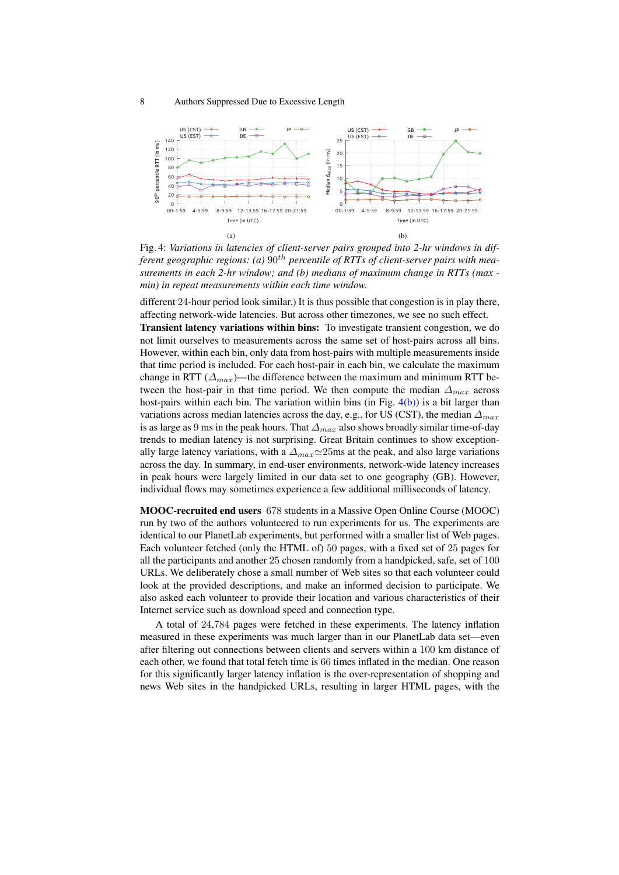<span id="page-7-0"></span>

<span id="page-7-1"></span>Fig. 4: *Variations in latencies of client-server pairs grouped into 2-hr windows in dif*ferent geographic regions: (a)  $90^{th}$  percentile of RTTs of client-server pairs with mea*surements in each 2-hr window; and (b) medians of maximum change in RTTs (max min) in repeat measurements within each time window.*

different 24-hour period look similar.) It is thus possible that congestion is in play there, affecting network-wide latencies. But across other timezones, we see no such effect.

Transient latency variations within bins: To investigate transient congestion, we do not limit ourselves to measurements across the same set of host-pairs across all bins. However, within each bin, only data from host-pairs with multiple measurements inside that time period is included. For each host-pair in each bin, we calculate the maximum change in RTT ( $\Delta_{max}$ )—the difference between the maximum and minimum RTT between the host-pair in that time period. We then compute the median  $\Delta_{max}$  across host-pairs within each bin. The variation within bins (in Fig.  $4(b)$ ) is a bit larger than variations across median latencies across the day, e.g., for US (CST), the median  $\Delta_{max}$ is as large as 9 ms in the peak hours. That  $\Delta_{max}$  also shows broadly similar time-of-day trends to median latency is not surprising. Great Britain continues to show exceptionally large latency variations, with a  $\Delta_{max} \simeq 25$ ms at the peak, and also large variations across the day. In summary, in end-user environments, network-wide latency increases in peak hours were largely limited in our data set to one geography (GB). However, individual flows may sometimes experience a few additional milliseconds of latency.

MOOC-recruited end users 678 students in a Massive Open Online Course (MOOC) run by two of the authors volunteered to run experiments for us. The experiments are identical to our PlanetLab experiments, but performed with a smaller list of Web pages. Each volunteer fetched (only the HTML of) 50 pages, with a fixed set of 25 pages for all the participants and another 25 chosen randomly from a handpicked, safe, set of 100 URLs. We deliberately chose a small number of Web sites so that each volunteer could look at the provided descriptions, and make an informed decision to participate. We also asked each volunteer to provide their location and various characteristics of their Internet service such as download speed and connection type.

A total of 24,784 pages were fetched in these experiments. The latency inflation measured in these experiments was much larger than in our PlanetLab data set—even after filtering out connections between clients and servers within a 100 km distance of each other, we found that total fetch time is 66 times inflated in the median. One reason for this significantly larger latency inflation is the over-representation of shopping and news Web sites in the handpicked URLs, resulting in larger HTML pages, with the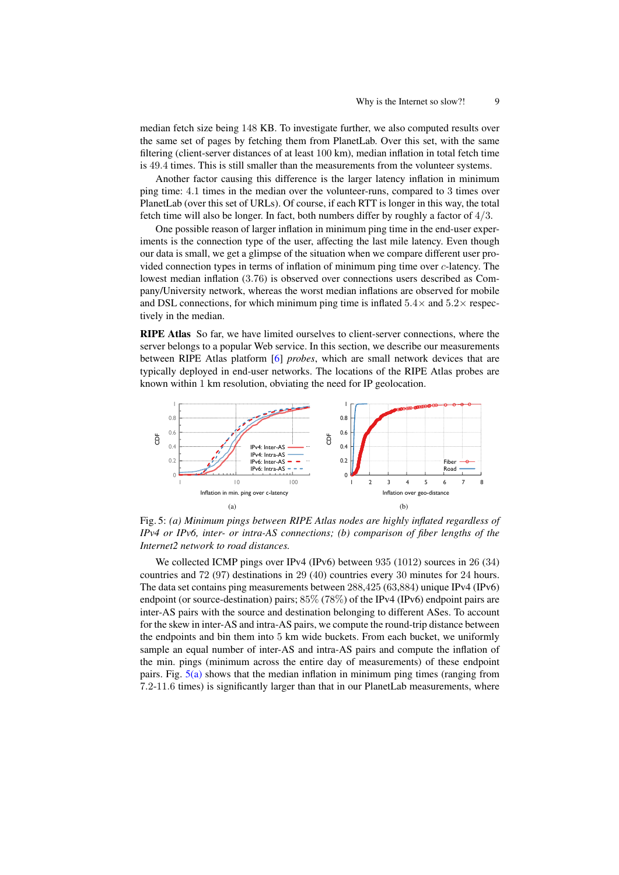9

median fetch size being 148 KB. To investigate further, we also computed results over the same set of pages by fetching them from PlanetLab. Over this set, with the same filtering (client-server distances of at least 100 km), median inflation in total fetch time is 49.4 times. This is still smaller than the measurements from the volunteer systems.

Another factor causing this difference is the larger latency inflation in minimum ping time: 4.1 times in the median over the volunteer-runs, compared to 3 times over PlanetLab (over this set of URLs). Of course, if each RTT is longer in this way, the total fetch time will also be longer. In fact, both numbers differ by roughly a factor of  $4/3$ .

One possible reason of larger inflation in minimum ping time in the end-user experiments is the connection type of the user, affecting the last mile latency. Even though our data is small, we get a glimpse of the situation when we compare different user provided connection types in terms of inflation of minimum ping time over c-latency. The lowest median inflation (3.76) is observed over connections users described as Company/University network, whereas the worst median inflations are observed for mobile and DSL connections, for which minimum ping time is inflated  $5.4\times$  and  $5.2\times$  respectively in the median.

RIPE Atlas So far, we have limited ourselves to client-server connections, where the server belongs to a popular Web service. In this section, we describe our measurements between RIPE Atlas platform [6] *probes*, which are small network devices that are typically deployed in end-user networks. The locations of the RIPE Atlas probes are known within 1 km resolution, obviating the need for IP geolocation.

<span id="page-8-0"></span>

Fig. 5: (a) Minimum pings between RIPE Atlas nodes are highly inflated regardless of IPv4 or IPv6, inter- or intra-AS connections; (b) comparison of fiber lengths of the Internet2 network to road distances.

We collected ICMP pings over IPv4 (IPv6) between 935 (1012) sources in 26 (34) countries and 72 (97) destinations in 29 (40) countries every 30 minutes for 24 hours. The data set contains ping measurements between 288,425 (63,884) unique IPv4 (IPv6) endpoint (or source-destination) pairs;  $85\%$  (78%) of the IPv4 (IPv6) endpoint pairs are inter-AS pairs with the source and destination belonging to different ASes. To account for the skew in inter-AS and intra-AS pairs, we compute the round-trip distance between the endpoints and bin them into 5 km wide buckets. From each bucket, we uniformly sample an equal number of inter-AS and intra-AS pairs and compute the inflation of the min. pings (minimum across the entire day of measurements) of these endpoint pairs. Fig.  $5(a)$  shows that the median inflation in minimum ping times (ranging from 7.2-11.6 times) is significantly larger than that in our PlanetLab measurements, where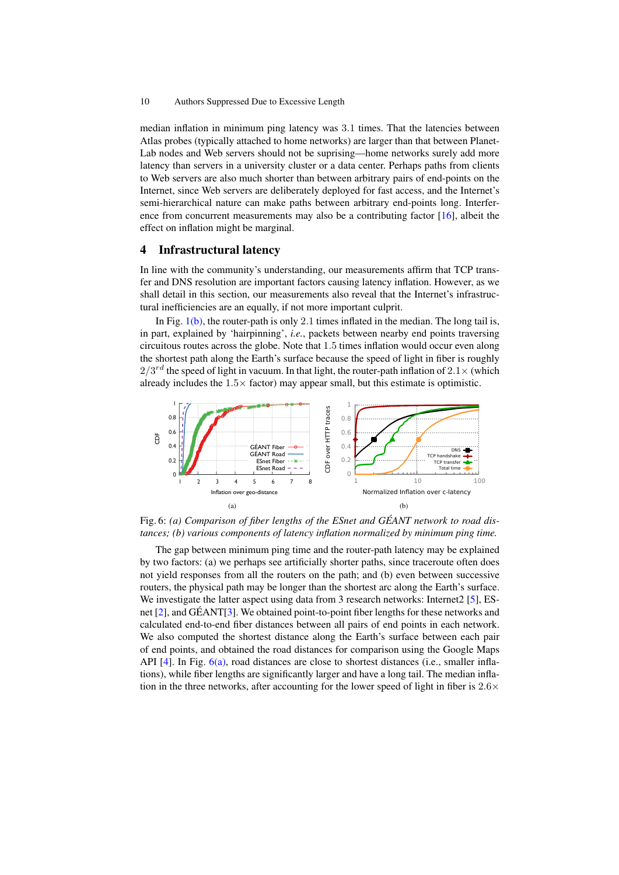median inflation in minimum ping latency was 3.1 times. That the latencies between Atlas probes (typically attached to home networks) are larger than that between Planet-Lab nodes and Web servers should not be suprising—home networks surely add more latency than servers in a university cluster or a data center. Perhaps paths from clients to Web servers are also much shorter than between arbitrary pairs of end-points on the Internet, since Web servers are deliberately deployed for fast access, and the Internet's semi-hierarchical nature can make paths between arbitrary end-points long. Interference from concurrent measurements may also be a contributing factor  $[16]$ , albeit the effect on inflation might be marginal.

# 4 Infrastructural latency

In line with the community's understanding, our measurements affirm that TCP transfer and DNS resolution are important factors causing latency inflation. However, as we shall detail in this section, our measurements also reveal that the Internet's infrastructural inefficiencies are an equally, if not more important culprit.

In Fig.  $1(b)$ , the router-path is only 2.1 times inflated in the median. The long tail is, in part, explained by 'hairpinning', *i.e.*, packets between nearby end points traversing circuitous routes across the globe. Note that 1.5 times inflation would occur even along the shortest path along the Earth's surface because the speed of light in fiber is roughly  $2/3^{rd}$  the speed of light in vacuum. In that light, the router-path inflation of  $2.1\times$  (which already includes the  $1.5 \times$  factor) may appear small, but this estimate is optimistic.

<span id="page-9-0"></span>

<span id="page-9-1"></span>Fig. 6: *(a) Comparison of fiber lengths of the ESnet and GEANT network to road dis- ´ tances; (b) various components of latency inflation normalized by minimum ping time.*

The gap between minimum ping time and the router-path latency may be explained by two factors: (a) we perhaps see artificially shorter paths, since traceroute often does not yield responses from all the routers on the path; and (b) even between successive routers, the physical path may be longer than the shortest arc along the Earth's surface. We investigate the latter aspect using data from 3 research networks: Internet2 [\[5\]](#page-11-6), ESnet  $[2]$ , and GÉANT $[3]$  $[3]$ . We obtained point-to-point fiber lengths for these networks and calculated end-to-end fiber distances between all pairs of end points in each network. We also computed the shortest distance along the Earth's surface between each pair of end points, and obtained the road distances for comparison using the Google Maps API  $[4]$ . In Fig.  $6(a)$ , road distances are close to shortest distances (i.e., smaller inflations), while fiber lengths are significantly larger and have a long tail. The median inflation in the three networks, after accounting for the lower speed of light in fiber is  $2.6\times$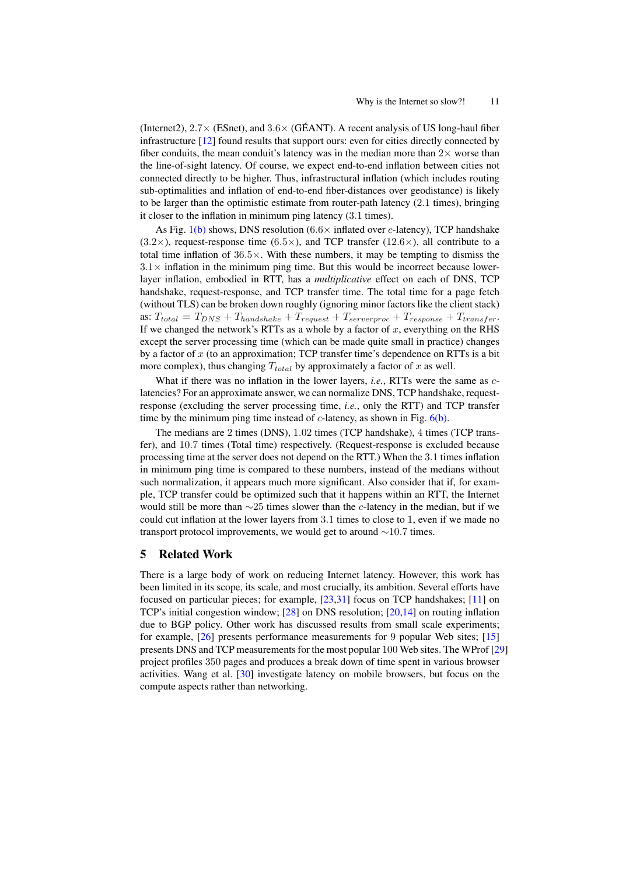(Internet2),  $2.7 \times$  (ESnet), and  $3.6 \times$  (GÉANT). A recent analysis of US long-haul fiber infrastructure [\[12\]](#page-11-10) found results that support ours: even for cities directly connected by fiber conduits, the mean conduit's latency was in the median more than  $2\times$  worse than the line-of-sight latency. Of course, we expect end-to-end inflation between cities not connected directly to be higher. Thus, infrastructural inflation (which includes routing sub-optimalities and inflation of end-to-end fiber-distances over geodistance) is likely to be larger than the optimistic estimate from router-path latency (2.1 times), bringing it closer to the inflation in minimum ping latency (3.1 times).

As Fig.  $1(b)$  shows, DNS resolution (6.6 $\times$  inflated over c-latency), TCP handshake  $(3.2\times)$ , request-response time  $(6.5\times)$ , and TCP transfer  $(12.6\times)$ , all contribute to a total time inflation of 36.5×. With these numbers, it may be tempting to dismiss the  $3.1\times$  inflation in the minimum ping time. But this would be incorrect because lowerlayer inflation, embodied in RTT, has a *multiplicative* effect on each of DNS, TCP handshake, request-response, and TCP transfer time. The total time for a page fetch (without TLS) can be broken down roughly (ignoring minor factors like the client stack) as:  $T_{total} = T_{DNS} + T_{handshake} + T_{request} + T_{serverproc} + T_{response} + T_{transfer}$ . If we changed the network's RTTs as a whole by a factor of  $x$ , everything on the RHS except the server processing time (which can be made quite small in practice) changes by a factor of  $x$  (to an approximation; TCP transfer time's dependence on RTTs is a bit more complex), thus changing  $T_{total}$  by approximately a factor of x as well.

What if there was no inflation in the lower layers, *i.e.*, RTTs were the same as clatencies? For an approximate answer, we can normalize DNS, TCP handshake, requestresponse (excluding the server processing time, *i.e.*, only the RTT) and TCP transfer time by the minimum ping time instead of  $c$ -latency, as shown in Fig.  $6(b)$ .

The medians are 2 times (DNS), 1.02 times (TCP handshake), 4 times (TCP transfer), and 10.7 times (Total time) respectively. (Request-response is excluded because processing time at the server does not depend on the RTT.) When the 3.1 times inflation in minimum ping time is compared to these numbers, instead of the medians without such normalization, it appears much more significant. Also consider that if, for example, TCP transfer could be optimized such that it happens within an RTT, the Internet would still be more than  $\sim$ 25 times slower than the c-latency in the median, but if we could cut inflation at the lower layers from 3.1 times to close to 1, even if we made no transport protocol improvements, we would get to around  $\sim$ 10.7 times.

# 5 Related Work

There is a large body of work on reducing Internet latency. However, this work has been limited in its scope, its scale, and most crucially, its ambition. Several efforts have focused on particular pieces; for example, [\[23,](#page-12-6)[31\]](#page-12-7) focus on TCP handshakes; [\[11\]](#page-11-11) on TCP's initial congestion window; [\[28\]](#page-12-8) on DNS resolution; [\[20,](#page-12-9)[14\]](#page-11-12) on routing inflation due to BGP policy. Other work has discussed results from small scale experiments; for example, [\[26\]](#page-12-10) presents performance measurements for 9 popular Web sites; [\[15\]](#page-11-13) presents DNS and TCP measurements for the most popular 100 Web sites. The WProf [\[29\]](#page-12-11) project profiles 350 pages and produces a break down of time spent in various browser activities. Wang et al. [\[30\]](#page-12-12) investigate latency on mobile browsers, but focus on the compute aspects rather than networking.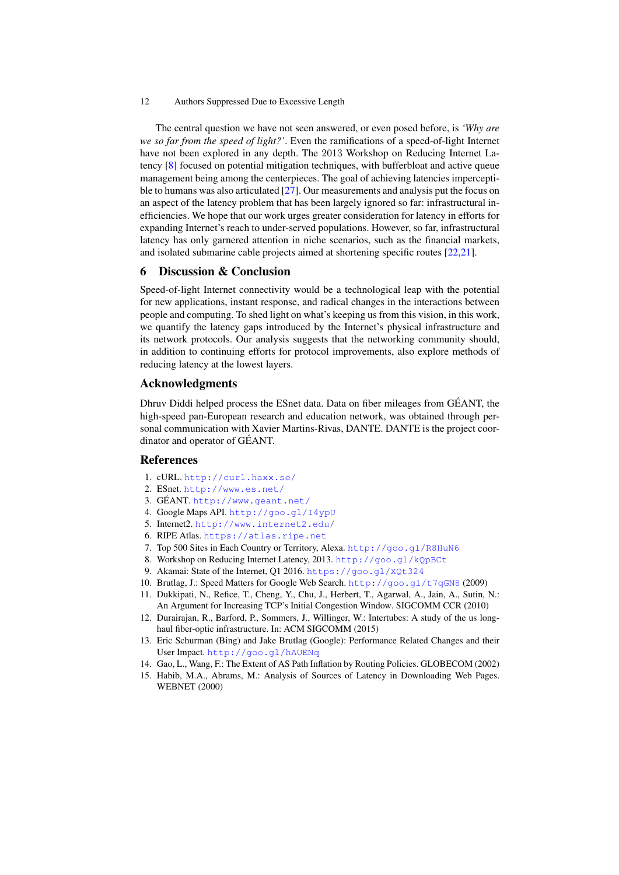The central question we have not seen answered, or even posed before, is *'Why are we so far from the speed of light?'*. Even the ramifications of a speed-of-light Internet have not been explored in any depth. The 2013 Workshop on Reducing Internet Latency [\[8\]](#page-11-14) focused on potential mitigation techniques, with bufferbloat and active queue management being among the centerpieces. The goal of achieving latencies imperceptible to humans was also articulated  $[27]$ . Our measurements and analysis put the focus on an aspect of the latency problem that has been largely ignored so far: infrastructural inefficiencies. We hope that our work urges greater consideration for latency in efforts for expanding Internet's reach to under-served populations. However, so far, infrastructural latency has only garnered attention in niche scenarios, such as the financial markets, and isolated submarine cable projects aimed at shortening specific routes [\[22](#page-12-14)[,21\]](#page-12-15).

# 6 Discussion & Conclusion

Speed-of-light Internet connectivity would be a technological leap with the potential for new applications, instant response, and radical changes in the interactions between people and computing. To shed light on what's keeping us from this vision, in this work, we quantify the latency gaps introduced by the Internet's physical infrastructure and its network protocols. Our analysis suggests that the networking community should, in addition to continuing efforts for protocol improvements, also explore methods of reducing latency at the lowest layers.

# Acknowledgments

Dhruv Diddi helped process the ESnet data. Data on fiber mileages from GEANT, the ´ high-speed pan-European research and education network, was obtained through personal communication with Xavier Martins-Rivas, DANTE. DANTE is the project coordinator and operator of GÉANT.

# References

- <span id="page-11-4"></span>1. cURL. <http://curl.haxx.se/>
- <span id="page-11-7"></span>2. ESnet. <http://www.es.net/>
- <span id="page-11-8"></span>3. GÉANT. <http://www.geant.net/>
- <span id="page-11-9"></span>4. Google Maps API. <http://goo.gl/I4ypU>
- <span id="page-11-6"></span>5. Internet2. <http://www.internet2.edu/>
- <span id="page-11-5"></span>6. RIPE Atlas. <https://atlas.ripe.net>
- <span id="page-11-3"></span>7. Top 500 Sites in Each Country or Territory, Alexa. <http://goo.gl/R8HuN6>
- <span id="page-11-14"></span>8. Workshop on Reducing Internet Latency, 2013. <http://goo.gl/kQpBCt>
- <span id="page-11-2"></span>9. Akamai: State of the Internet, Q1 2016. <https://goo.gl/XQt324>
- <span id="page-11-0"></span>10. Brutlag, J.: Speed Matters for Google Web Search. <http://goo.gl/t7qGN8> (2009)
- <span id="page-11-11"></span>11. Dukkipati, N., Refice, T., Cheng, Y., Chu, J., Herbert, T., Agarwal, A., Jain, A., Sutin, N.: An Argument for Increasing TCP's Initial Congestion Window. SIGCOMM CCR (2010)
- <span id="page-11-10"></span>12. Durairajan, R., Barford, P., Sommers, J., Willinger, W.: Intertubes: A study of the us longhaul fiber-optic infrastructure. In: ACM SIGCOMM (2015)
- <span id="page-11-1"></span>13. Eric Schurman (Bing) and Jake Brutlag (Google): Performance Related Changes and their User Impact. <http://goo.gl/hAUENq>
- <span id="page-11-12"></span>14. Gao, L., Wang, F.: The Extent of AS Path Inflation by Routing Policies. GLOBECOM (2002)
- <span id="page-11-13"></span>15. Habib, M.A., Abrams, M.: Analysis of Sources of Latency in Downloading Web Pages. WEBNET (2000)